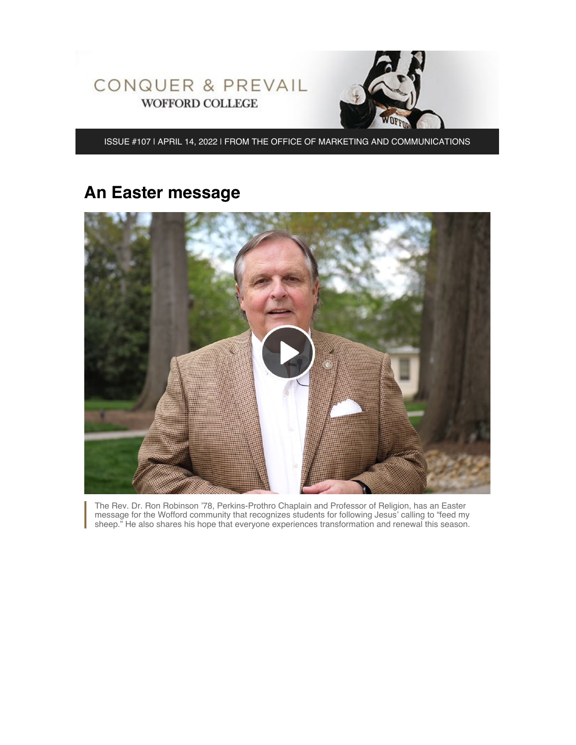

ISSUE #107 | APRIL 14, 2022 | FROM THE OFFICE OF MARKETING AND COMMUNICATIONS

# **An Easter message**



The Rev. Dr. Ron Robinson '78, Perkins-Prothro Chaplain and Professor of Religion, has an Easter message for the Wofford community that recognizes students for following Jesus' calling to "feed my sheep." He also shares his hope that everyone experiences transformation and renewal this season.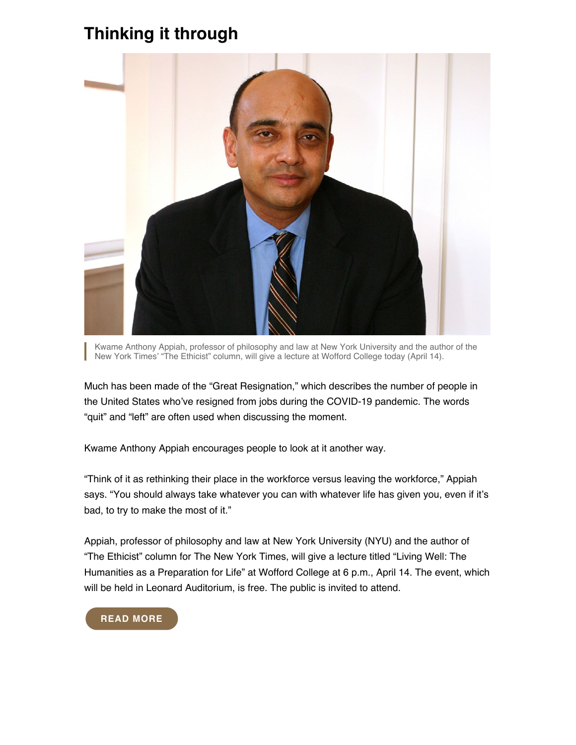## **Thinking it through**



Kwame Anthony Appiah, professor of philosophy and law at New York University and the author of the New York Times' "The Ethicist" column, will give a lecture at Wofford College today (April 14).

Much has been made of the "Great Resignation," which describes the number of people in the United States who've resigned from jobs during the COVID-19 pandemic. The words "quit" and "left" are often used when discussing the moment.

Kwame Anthony Appiah encourages people to look at it another way.

"Think of it as rethinking their place in the workforce versus leaving the workforce," Appiah says. "You should always take whatever you can with whatever life has given you, even if it's bad, to try to make the most of it."

Appiah, professor of philosophy and law at New York University (NYU) and the author of "The Ethicist" column for The New York Times, will give a lecture titled "Living Well: The Humanities as a Preparation for Life" at Wofford College at 6 p.m., April 14. The event, which will be held in Leonard Auditorium, is free. The public is invited to attend.

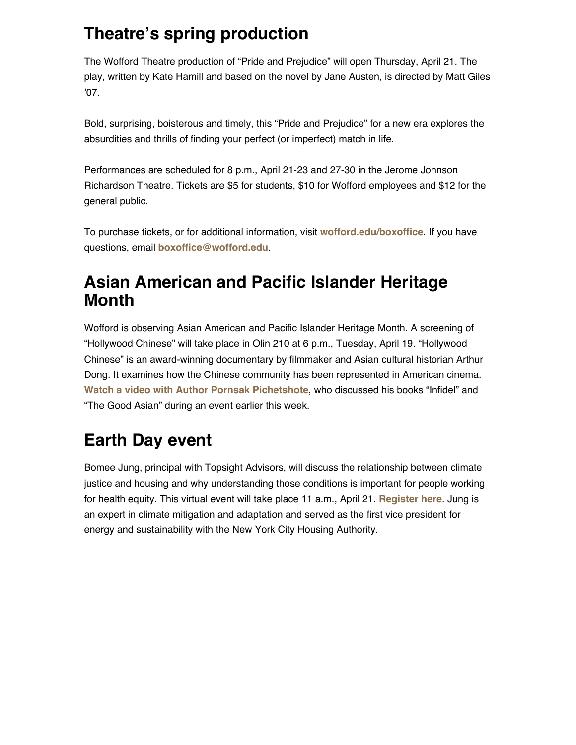## **Theatre's spring production**

The Wofford Theatre production of "Pride and Prejudice" will open Thursday, April 21. The play, written by Kate Hamill and based on the novel by Jane Austen, is directed by Matt Giles '07.

Bold, surprising, boisterous and timely, this "Pride and Prejudice" for a new era explores the absurdities and thrills of finding your perfect (or imperfect) match in life.

Performances are scheduled for 8 p.m., April 21-23 and 27-30 in the Jerome Johnson Richardson Theatre. Tickets are \$5 for students, \$10 for Wofford employees and \$12 for the general public.

To purchase tickets, or for additional information, visit **[wofford.edu/boxoffice](https://www.wofford.edu/academics/majors-and-programs/theatre/box-office)**. If you have questions, email **[boxoffice@wofford.edu](mailto:boxoffice@wofford.edu)**.

### **Asian American and Pacific Islander Heritage Month**

Wofford is observing Asian American and Pacific Islander Heritage Month. A screening of "Hollywood Chinese" will take place in Olin 210 at 6 p.m., Tuesday, April 19. "Hollywood Chinese" is an award-winning documentary by filmmaker and Asian cultural historian Arthur Dong. It examines how the Chinese community has been represented in American cinema. **[Watch a video with Author Pornsak Pichetshote](https://fb.watch/co4q1LZEqU/)**, who discussed his books "Infidel" and "The Good Asian" during an event earlier this week.

## **Earth Day event**

Bomee Jung, principal with Topsight Advisors, will discuss the relationship between climate justice and housing and why understanding those conditions is important for people working for health equity. This virtual event will take place 11 a.m., April 21. **[Register here](https://wofford.zoom.us/webinar/register/WN_0zZhCFCdRb-q4y5iUsNLHw)**. Jung is an expert in climate mitigation and adaptation and served as the first vice president for energy and sustainability with the New York City Housing Authority.